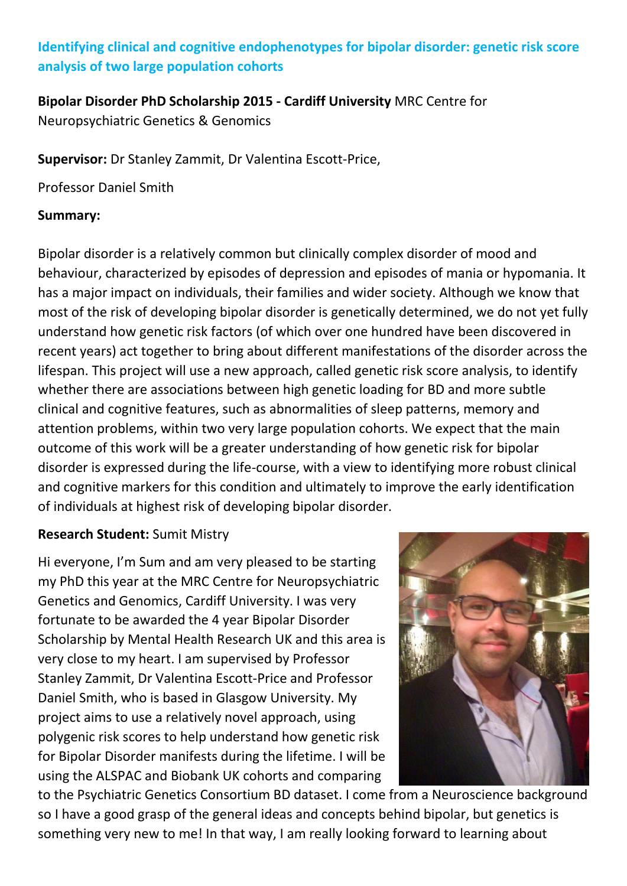# **Identifying clinical and cognitive endophenotypes for bipolar disorder: genetic risk score analysis of two large population cohorts**

## **Bipolar Disorder PhD Scholarship 2015 - Cardiff University** MRC Centre for Neuropsychiatric Genetics & Genomics

**Supervisor:** Dr Stanley Zammit, Dr Valentina Escott-Price,

Professor Daniel Smith

#### **Summary:**

Bipolar disorder is a relatively common but clinically complex disorder of mood and behaviour, characterized by episodes of depression and episodes of mania or hypomania. It has a major impact on individuals, their families and wider society. Although we know that most of the risk of developing bipolar disorder is genetically determined, we do not yet fully understand how genetic risk factors (of which over one hundred have been discovered in recent years) act together to bring about different manifestations of the disorder across the lifespan. This project will use a new approach, called genetic risk score analysis, to identify whether there are associations between high genetic loading for BD and more subtle clinical and cognitive features, such as abnormalities of sleep patterns, memory and attention problems, within two very large population cohorts. We expect that the main outcome of this work will be a greater understanding of how genetic risk for bipolar disorder is expressed during the life-course, with a view to identifying more robust clinical and cognitive markers for this condition and ultimately to improve the early identification of individuals at highest risk of developing bipolar disorder.

### **Research Student:** Sumit Mistry

Hi everyone, I'm Sum and am very pleased to be starting my PhD this year at the MRC Centre for Neuropsychiatric Genetics and Genomics, Cardiff University. I was very fortunate to be awarded the 4 year Bipolar Disorder Scholarship by Mental Health Research UK and this area is very close to my heart. I am supervised by Professor Stanley Zammit, Dr Valentina Escott-Price and Professor Daniel Smith, who is based in Glasgow University. My project aims to use a relatively novel approach, using polygenic risk scores to help understand how genetic risk for Bipolar Disorder manifests during the lifetime. I will be using the ALSPAC and Biobank UK cohorts and comparing



to the Psychiatric Genetics Consortium BD dataset. I come from a Neuroscience background so I have a good grasp of the general ideas and concepts behind bipolar, but genetics is something very new to me! In that way, I am really looking forward to learning about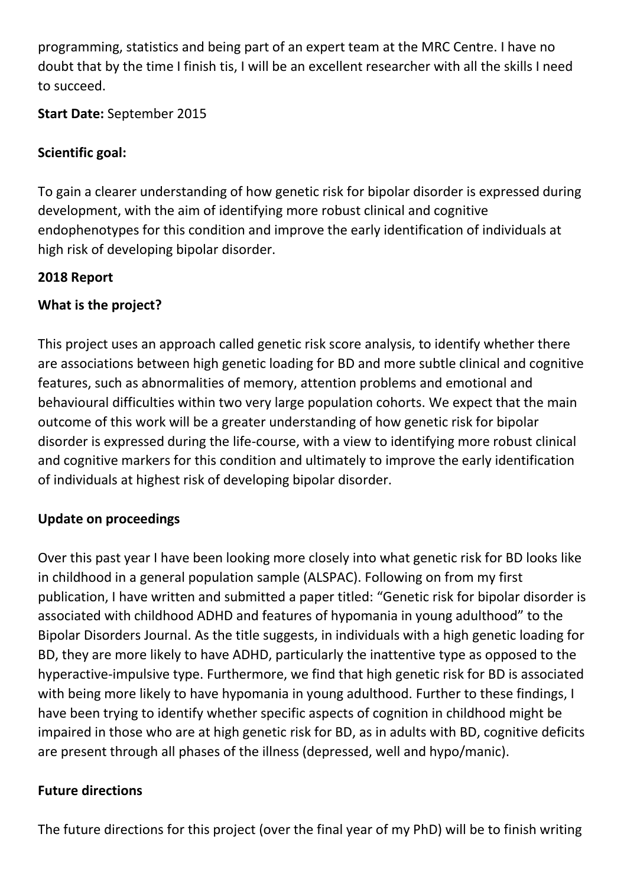programming, statistics and being part of an expert team at the MRC Centre. I have no doubt that by the time I finish tis, I will be an excellent researcher with all the skills I need to succeed.

**Start Date:** September 2015

# **Scientific goal:**

To gain a clearer understanding of how genetic risk for bipolar disorder is expressed during development, with the aim of identifying more robust clinical and cognitive endophenotypes for this condition and improve the early identification of individuals at high risk of developing bipolar disorder.

# **2018 Report**

# **What is the project?**

This project uses an approach called genetic risk score analysis, to identify whether there are associations between high genetic loading for BD and more subtle clinical and cognitive features, such as abnormalities of memory, attention problems and emotional and behavioural difficulties within two very large population cohorts. We expect that the main outcome of this work will be a greater understanding of how genetic risk for bipolar disorder is expressed during the life-course, with a view to identifying more robust clinical and cognitive markers for this condition and ultimately to improve the early identification of individuals at highest risk of developing bipolar disorder.

# **Update on proceedings**

Over this past year I have been looking more closely into what genetic risk for BD looks like in childhood in a general population sample (ALSPAC). Following on from my first publication, I have written and submitted a paper titled: "Genetic risk for bipolar disorder is associated with childhood ADHD and features of hypomania in young adulthood" to the Bipolar Disorders Journal. As the title suggests, in individuals with a high genetic loading for BD, they are more likely to have ADHD, particularly the inattentive type as opposed to the hyperactive-impulsive type. Furthermore, we find that high genetic risk for BD is associated with being more likely to have hypomania in young adulthood. Further to these findings, I have been trying to identify whether specific aspects of cognition in childhood might be impaired in those who are at high genetic risk for BD, as in adults with BD, cognitive deficits are present through all phases of the illness (depressed, well and hypo/manic).

# **Future directions**

The future directions for this project (over the final year of my PhD) will be to finish writing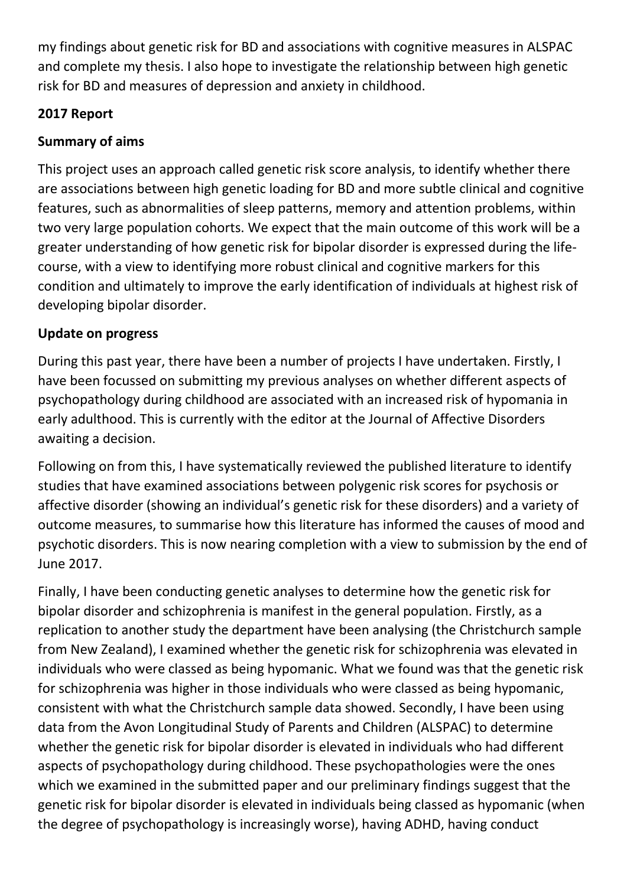my findings about genetic risk for BD and associations with cognitive measures in ALSPAC and complete my thesis. I also hope to investigate the relationship between high genetic risk for BD and measures of depression and anxiety in childhood.

# **2017 Report**

# **Summary of aims**

This project uses an approach called genetic risk score analysis, to identify whether there are associations between high genetic loading for BD and more subtle clinical and cognitive features, such as abnormalities of sleep patterns, memory and attention problems, within two very large population cohorts. We expect that the main outcome of this work will be a greater understanding of how genetic risk for bipolar disorder is expressed during the lifecourse, with a view to identifying more robust clinical and cognitive markers for this condition and ultimately to improve the early identification of individuals at highest risk of developing bipolar disorder.

# **Update on progress**

During this past year, there have been a number of projects I have undertaken. Firstly, I have been focussed on submitting my previous analyses on whether different aspects of psychopathology during childhood are associated with an increased risk of hypomania in early adulthood. This is currently with the editor at the Journal of Affective Disorders awaiting a decision.

Following on from this, I have systematically reviewed the published literature to identify studies that have examined associations between polygenic risk scores for psychosis or affective disorder (showing an individual's genetic risk for these disorders) and a variety of outcome measures, to summarise how this literature has informed the causes of mood and psychotic disorders. This is now nearing completion with a view to submission by the end of June 2017.

Finally, I have been conducting genetic analyses to determine how the genetic risk for bipolar disorder and schizophrenia is manifest in the general population. Firstly, as a replication to another study the department have been analysing (the Christchurch sample from New Zealand), I examined whether the genetic risk for schizophrenia was elevated in individuals who were classed as being hypomanic. What we found was that the genetic risk for schizophrenia was higher in those individuals who were classed as being hypomanic, consistent with what the Christchurch sample data showed. Secondly, I have been using data from the Avon Longitudinal Study of Parents and Children (ALSPAC) to determine whether the genetic risk for bipolar disorder is elevated in individuals who had different aspects of psychopathology during childhood. These psychopathologies were the ones which we examined in the submitted paper and our preliminary findings suggest that the genetic risk for bipolar disorder is elevated in individuals being classed as hypomanic (when the degree of psychopathology is increasingly worse), having ADHD, having conduct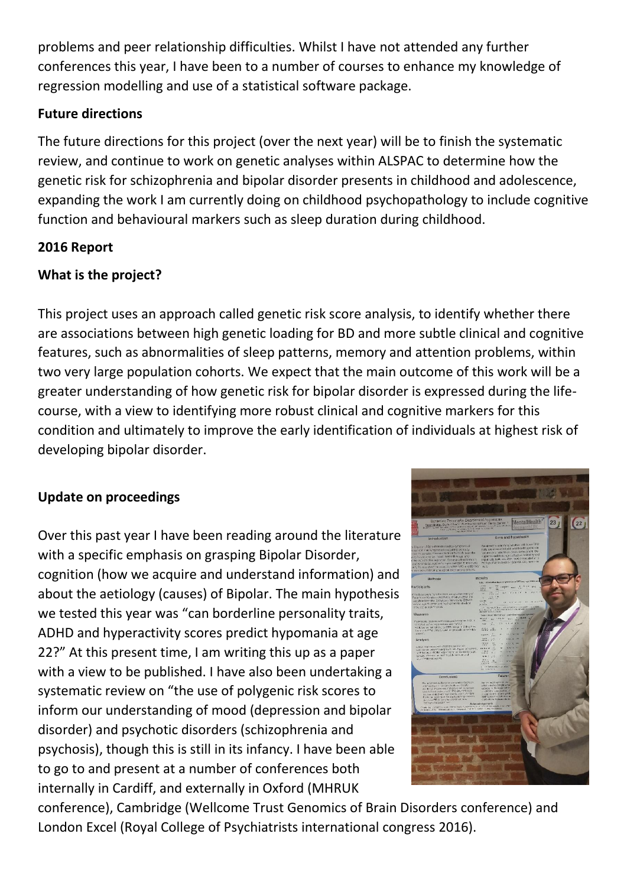problems and peer relationship difficulties. Whilst I have not attended any further conferences this year, I have been to a number of courses to enhance my knowledge of regression modelling and use of a statistical software package.

### **Future directions**

The future directions for this project (over the next year) will be to finish the systematic review, and continue to work on genetic analyses within ALSPAC to determine how the genetic risk for schizophrenia and bipolar disorder presents in childhood and adolescence, expanding the work I am currently doing on childhood psychopathology to include cognitive function and behavioural markers such as sleep duration during childhood.

# **2016 Report**

# **What is the project?**

This project uses an approach called genetic risk score analysis, to identify whether there are associations between high genetic loading for BD and more subtle clinical and cognitive features, such as abnormalities of sleep patterns, memory and attention problems, within two very large population cohorts. We expect that the main outcome of this work will be a greater understanding of how genetic risk for bipolar disorder is expressed during the lifecourse, with a view to identifying more robust clinical and cognitive markers for this condition and ultimately to improve the early identification of individuals at highest risk of developing bipolar disorder.

# **Update on proceedings**

Over this past year I have been reading around the literature with a specific emphasis on grasping Bipolar Disorder, cognition (how we acquire and understand information) and about the aetiology (causes) of Bipolar. The main hypothesis we tested this year was "can borderline personality traits, ADHD and hyperactivity scores predict hypomania at age 22?" At this present time, I am writing this up as a paper with a view to be published. I have also been undertaking a systematic review on "the use of polygenic risk scores to inform our understanding of mood (depression and bipolar disorder) and psychotic disorders (schizophrenia and psychosis), though this is still in its infancy. I have been able to go to and present at a number of conferences both internally in Cardiff, and externally in Oxford (MHRUK



conference), Cambridge (Wellcome Trust Genomics of Brain Disorders conference) and London Excel (Royal College of Psychiatrists international congress 2016).